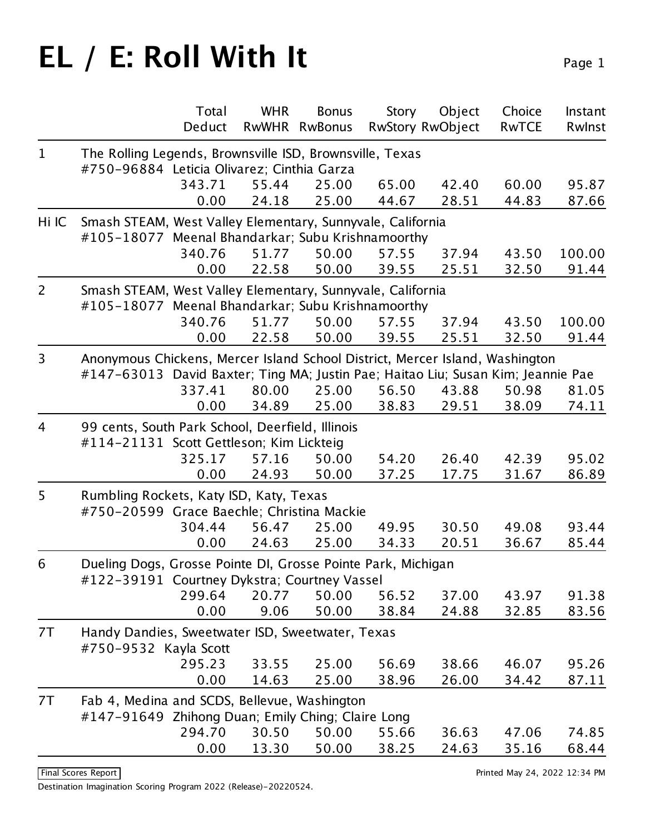|                |                                                                                  | Total  | <b>WHR</b> | <b>Bonus</b>  | <b>Story</b> | Object                  | Choice       | Instant |
|----------------|----------------------------------------------------------------------------------|--------|------------|---------------|--------------|-------------------------|--------------|---------|
|                |                                                                                  | Deduct |            | RwWHR RwBonus |              | <b>RwStory RwObject</b> | <b>RwTCE</b> | Rwlnst  |
| $\mathbf{1}$   | The Rolling Legends, Brownsville ISD, Brownsville, Texas                         |        |            |               |              |                         |              |         |
|                | #750-96884 Leticia Olivarez; Cinthia Garza                                       |        |            |               |              |                         |              |         |
|                |                                                                                  | 343.71 | 55.44      | 25.00         | 65.00        | 42.40                   | 60.00        | 95.87   |
|                |                                                                                  | 0.00   | 24.18      | 25.00         | 44.67        | 28.51                   | 44.83        | 87.66   |
| Hi IC          | Smash STEAM, West Valley Elementary, Sunnyvale, California                       |        |            |               |              |                         |              |         |
|                | #105-18077 Meenal Bhandarkar; Subu Krishnamoorthy                                |        |            |               |              |                         |              |         |
|                |                                                                                  | 340.76 | 51.77      | 50.00         | 57.55        | 37.94                   | 43.50        | 100.00  |
|                |                                                                                  | 0.00   | 22.58      | 50.00         | 39.55        | 25.51                   | 32.50        | 91.44   |
| $\overline{2}$ | Smash STEAM, West Valley Elementary, Sunnyvale, California                       |        |            |               |              |                         |              |         |
|                | #105-18077 Meenal Bhandarkar; Subu Krishnamoorthy                                |        |            |               |              |                         |              |         |
|                |                                                                                  | 340.76 | 51.77      | 50.00         | 57.55        | 37.94                   | 43.50        | 100.00  |
|                |                                                                                  | 0.00   | 22.58      | 50.00         | 39.55        | 25.51                   | 32.50        | 91.44   |
| 3              | Anonymous Chickens, Mercer Island School District, Mercer Island, Washington     |        |            |               |              |                         |              |         |
|                | #147-63013 David Baxter; Ting MA; Justin Pae; Haitao Liu; Susan Kim; Jeannie Pae |        |            |               |              |                         |              |         |
|                |                                                                                  | 337.41 | 80.00      | 25.00         | 56.50        | 43.88                   | 50.98        | 81.05   |
|                |                                                                                  | 0.00   | 34.89      | 25.00         | 38.83        | 29.51                   | 38.09        | 74.11   |
| $\overline{4}$ | 99 cents, South Park School, Deerfield, Illinois                                 |        |            |               |              |                         |              |         |
|                | #114-21131 Scott Gettleson; Kim Lickteig                                         |        |            |               |              |                         |              |         |
|                |                                                                                  | 325.17 | 57.16      | 50.00         | 54.20        | 26.40                   | 42.39        | 95.02   |
|                |                                                                                  | 0.00   | 24.93      | 50.00         | 37.25        | 17.75                   | 31.67        | 86.89   |
| 5              | Rumbling Rockets, Katy ISD, Katy, Texas                                          |        |            |               |              |                         |              |         |
|                | #750-20599 Grace Baechle; Christina Mackie                                       |        |            |               |              |                         |              |         |
|                |                                                                                  | 304.44 | 56.47      | 25.00         | 49.95        | 30.50                   | 49.08        | 93.44   |
|                |                                                                                  | 0.00   | 24.63      | 25.00         | 34.33        | 20.51                   | 36.67        | 85.44   |
| 6              | Dueling Dogs, Grosse Pointe DI, Grosse Pointe Park, Michigan                     |        |            |               |              |                         |              |         |
|                | #122-39191 Courtney Dykstra; Courtney Vassel                                     |        |            |               |              |                         |              |         |
|                |                                                                                  | 299.64 | 20.77      | 50.00         | 56.52        | 37.00                   | 43.97        | 91.38   |
|                |                                                                                  | 0.00   | 9.06       | 50.00         | 38.84        | 24.88                   | 32.85        | 83.56   |
| 7T             | Handy Dandies, Sweetwater ISD, Sweetwater, Texas                                 |        |            |               |              |                         |              |         |
|                | #750-9532 Kayla Scott                                                            |        |            |               |              |                         |              |         |
|                |                                                                                  | 295.23 | 33.55      | 25.00         | 56.69        | 38.66                   | 46.07        | 95.26   |
|                |                                                                                  | 0.00   | 14.63      | 25.00         | 38.96        | 26.00                   | 34.42        | 87.11   |
| 7T             | Fab 4, Medina and SCDS, Bellevue, Washington                                     |        |            |               |              |                         |              |         |
|                | #147-91649 Zhihong Duan; Emily Ching; Claire Long                                |        |            |               |              |                         |              |         |
|                |                                                                                  | 294.70 | 30.50      | 50.00         | 55.66        | 36.63                   | 47.06        | 74.85   |
|                |                                                                                  | 0.00   | 13.30      | 50.00         | 38.25        | 24.63                   | 35.16        | 68.44   |
|                |                                                                                  |        |            |               |              |                         |              |         |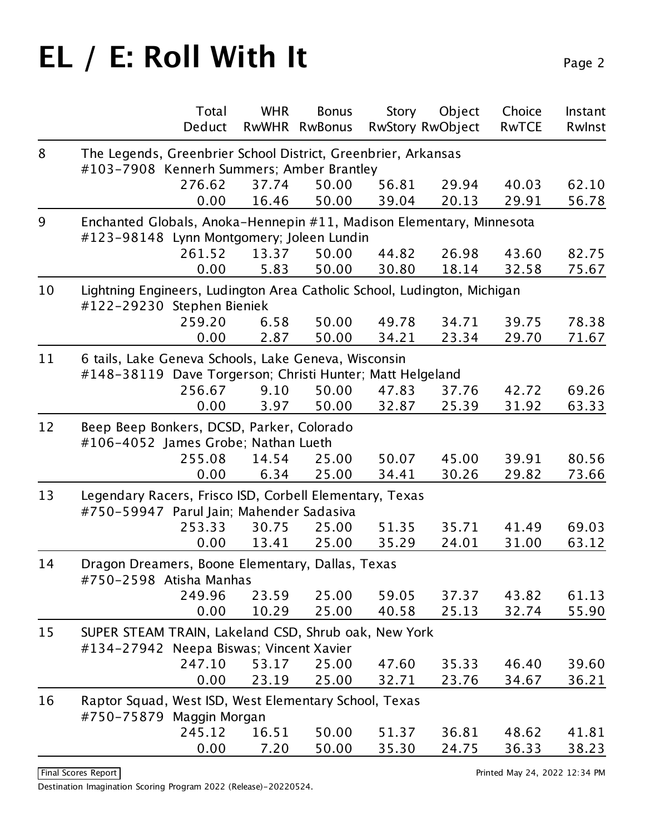|    | Total<br>Deduct                                                                                                   | <b>WHR</b>    | <b>Bonus</b><br>RwWHR RwBonus | <b>Story</b>   | Object<br><b>RwStory RwObject</b> | Choice<br><b>RwTCE</b> | Instant<br>Rwlnst |  |  |
|----|-------------------------------------------------------------------------------------------------------------------|---------------|-------------------------------|----------------|-----------------------------------|------------------------|-------------------|--|--|
|    |                                                                                                                   |               |                               |                |                                   |                        |                   |  |  |
| 8  | The Legends, Greenbrier School District, Greenbrier, Arkansas<br>#103-7908 Kennerh Summers; Amber Brantley        |               |                               |                |                                   |                        |                   |  |  |
|    | 276.62                                                                                                            | 37.74         | 50.00                         | 56.81          | 29.94                             | 40.03                  | 62.10             |  |  |
|    | 0.00                                                                                                              | 16.46         | 50.00                         | 39.04          | 20.13                             | 29.91                  | 56.78             |  |  |
| 9  |                                                                                                                   |               |                               |                |                                   |                        |                   |  |  |
|    | Enchanted Globals, Anoka-Hennepin #11, Madison Elementary, Minnesota<br>#123-98148 Lynn Montgomery; Joleen Lundin |               |                               |                |                                   |                        |                   |  |  |
|    | 261.52                                                                                                            | 13.37         | 50.00                         | 44.82          | 26.98                             | 43.60                  | 82.75             |  |  |
|    | 0.00                                                                                                              | 5.83          | 50.00                         | 30.80          | 18.14                             | 32.58                  | 75.67             |  |  |
|    |                                                                                                                   |               |                               |                |                                   |                        |                   |  |  |
| 10 | Lightning Engineers, Ludington Area Catholic School, Ludington, Michigan<br>#122-29230 Stephen Bieniek            |               |                               |                |                                   |                        |                   |  |  |
|    | 259.20                                                                                                            | 6.58          | 50.00                         | 49.78          | 34.71                             | 39.75                  | 78.38             |  |  |
|    | 0.00                                                                                                              | 2.87          | 50.00                         | 34.21          | 23.34                             | 29.70                  | 71.67             |  |  |
|    |                                                                                                                   |               |                               |                |                                   |                        |                   |  |  |
| 11 | 6 tails, Lake Geneva Schools, Lake Geneva, Wisconsin                                                              |               |                               |                |                                   |                        |                   |  |  |
|    | #148-38119 Dave Torgerson; Christi Hunter; Matt Helgeland<br>256.67                                               | 9.10          | 50.00                         | 47.83          |                                   |                        | 69.26             |  |  |
|    | 0.00                                                                                                              | 3.97          | 50.00                         | 32.87          | 37.76<br>25.39                    | 42.72<br>31.92         | 63.33             |  |  |
|    |                                                                                                                   |               |                               |                |                                   |                        |                   |  |  |
| 12 | Beep Beep Bonkers, DCSD, Parker, Colorado                                                                         |               |                               |                |                                   |                        |                   |  |  |
|    | #106-4052 James Grobe; Nathan Lueth                                                                               |               |                               |                |                                   |                        |                   |  |  |
|    | 255.08<br>0.00                                                                                                    | 14.54<br>6.34 | 25.00<br>25.00                | 50.07<br>34.41 | 45.00<br>30.26                    | 39.91<br>29.82         | 80.56<br>73.66    |  |  |
|    |                                                                                                                   |               |                               |                |                                   |                        |                   |  |  |
| 13 | Legendary Racers, Frisco ISD, Corbell Elementary, Texas                                                           |               |                               |                |                                   |                        |                   |  |  |
|    | #750-59947 Parul Jain; Mahender Sadasiva                                                                          |               |                               |                |                                   |                        |                   |  |  |
|    | 253.33                                                                                                            | 30.75         | 25.00                         | 51.35          | 35.71                             | 41.49                  | 69.03             |  |  |
|    | 0.00                                                                                                              | 13.41         | 25.00                         | 35.29          | 24.01                             | 31.00                  | 63.12             |  |  |
| 14 | Dragon Dreamers, Boone Elementary, Dallas, Texas                                                                  |               |                               |                |                                   |                        |                   |  |  |
|    | #750-2598 Atisha Manhas                                                                                           |               |                               |                |                                   |                        |                   |  |  |
|    | 249.96                                                                                                            | 23.59         | 25.00                         | 59.05          | 37.37                             | 43.82                  | 61.13             |  |  |
|    | 0.00                                                                                                              | 10.29         | 25.00                         | 40.58          | 25.13                             | 32.74                  | 55.90             |  |  |
| 15 | SUPER STEAM TRAIN, Lakeland CSD, Shrub oak, New York                                                              |               |                               |                |                                   |                        |                   |  |  |
|    | #134-27942 Neepa Biswas; Vincent Xavier                                                                           |               |                               |                |                                   |                        |                   |  |  |
|    | 247.10                                                                                                            | 53.17         | 25.00                         | 47.60          | 35.33                             | 46.40                  | 39.60             |  |  |
|    | 0.00                                                                                                              | 23.19         | 25.00                         | 32.71          | 23.76                             | 34.67                  | 36.21             |  |  |
| 16 | Raptor Squad, West ISD, West Elementary School, Texas                                                             |               |                               |                |                                   |                        |                   |  |  |
|    | #750-75879 Maggin Morgan                                                                                          |               |                               |                |                                   |                        |                   |  |  |
|    | 245.12                                                                                                            | 16.51         | 50.00                         | 51.37          | 36.81                             | 48.62                  | 41.81             |  |  |
|    | 0.00                                                                                                              | 7.20          | 50.00                         | 35.30          | 24.75                             | 36.33                  | 38.23             |  |  |

Destination Imagination Scoring Program 2022 (Release)-20220524.

Final Scores Report **Printed May 24, 2022 12:34 PM**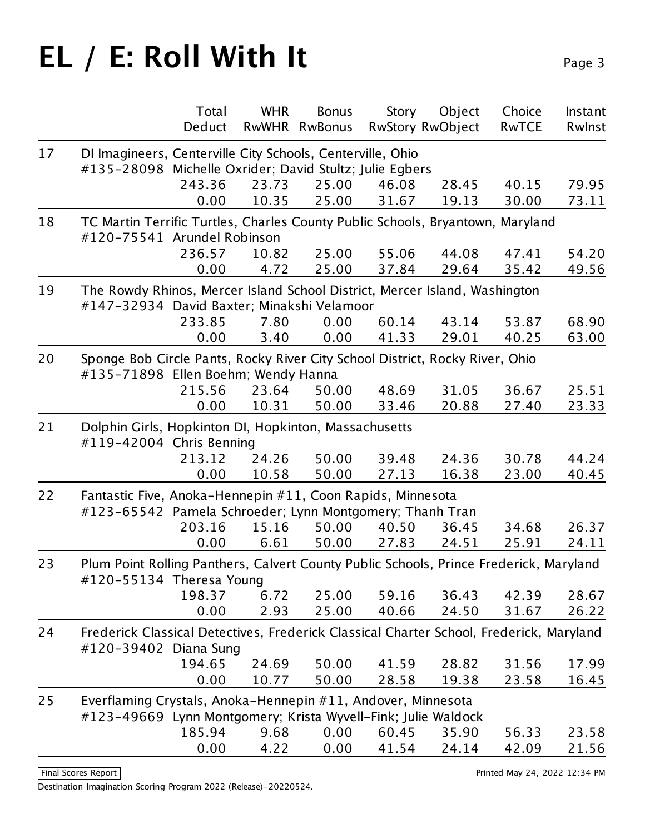| Deduct<br>RwWHR<br><b>RwStory RwObject</b><br><b>RwBonus</b><br><b>RwTCE</b><br>Rwlnst<br>DI Imagineers, Centerville City Schools, Centerville, Ohio<br>17<br>#135-28098 Michelle Oxrider; David Stultz; Julie Egbers<br>243.36<br>23.73<br>25.00<br>46.08<br>28.45<br>40.15<br>25.00<br>30.00<br>0.00<br>10.35<br>31.67<br>19.13<br>73.11<br>18<br>TC Martin Terrific Turtles, Charles County Public Schools, Bryantown, Maryland<br>#120-75541 Arundel Robinson<br>236.57<br>10.82<br>25.00<br>55.06<br>44.08<br>47.41<br>0.00<br>25.00<br>29.64<br>35.42<br>49.56<br>4.72<br>37.84<br>The Rowdy Rhinos, Mercer Island School District, Mercer Island, Washington<br>19<br>#147-32934 David Baxter; Minakshi Velamoor<br>7.80<br>233.85<br>0.00<br>60.14<br>43.14<br>53.87<br>0.00<br>0.00<br>41.33<br>29.01<br>40.25<br>63.00<br>3.40<br>Sponge Bob Circle Pants, Rocky River City School District, Rocky River, Ohio<br>#135-71898 Ellen Boehm; Wendy Hanna<br>215.56<br>23.64<br>50.00<br>31.05<br>36.67<br>48.69<br>50.00<br>0.00<br>10.31<br>33.46<br>20.88<br>27.40<br>23.33<br>21<br>Dolphin Girls, Hopkinton DI, Hopkinton, Massachusetts<br>#119-42004 Chris Benning<br>50.00<br>213.12<br>24.26<br>39.48<br>24.36<br>30.78<br>10.58<br>50.00<br>27.13<br>16.38<br>23.00<br>40.45<br>0.00<br>22<br>Fantastic Five, Anoka-Hennepin #11, Coon Rapids, Minnesota<br>#123-65542 Pamela Schroeder; Lynn Montgomery; Thanh Tran<br>203.16<br>15.16<br>50.00<br>40.50<br>36.45<br>34.68<br>0.00<br>6.61<br>50.00<br>27.83<br>24.51<br>25.91<br>24.11<br>Plum Point Rolling Panthers, Calvert County Public Schools, Prince Frederick, Maryland<br>#120-55134 Theresa Young<br>198.37<br>6.72<br>25.00<br>59.16<br>36.43<br>42.39<br>2.93<br>0.00<br>25.00<br>40.66<br>24.50<br>26.22<br>31.67<br>24<br>Frederick Classical Detectives, Frederick Classical Charter School, Frederick, Maryland<br>#120-39402 Diana Sung<br>194.65<br>24.69<br>50.00<br>28.82<br>31.56<br>41.59<br>0.00<br>50.00<br>10.77<br>28.58<br>19.38<br>23.58<br>16.45<br>25<br>Everflaming Crystals, Anoka-Hennepin #11, Andover, Minnesota<br>#123-49669 Lynn Montgomery; Krista Wyvell-Fink; Julie Waldock<br>185.94<br>9.68<br>0.00<br>60.45<br>35.90<br>56.33<br>0.00<br>0.00<br>4.22<br>41.54<br>24.14<br>42.09 |    | Total | <b>WHR</b> | <b>Bonus</b> | Story | Object | Choice | Instant |
|-------------------------------------------------------------------------------------------------------------------------------------------------------------------------------------------------------------------------------------------------------------------------------------------------------------------------------------------------------------------------------------------------------------------------------------------------------------------------------------------------------------------------------------------------------------------------------------------------------------------------------------------------------------------------------------------------------------------------------------------------------------------------------------------------------------------------------------------------------------------------------------------------------------------------------------------------------------------------------------------------------------------------------------------------------------------------------------------------------------------------------------------------------------------------------------------------------------------------------------------------------------------------------------------------------------------------------------------------------------------------------------------------------------------------------------------------------------------------------------------------------------------------------------------------------------------------------------------------------------------------------------------------------------------------------------------------------------------------------------------------------------------------------------------------------------------------------------------------------------------------------------------------------------------------------------------------------------------------------------------------------------------------------------------------------------------------------------------------------------------------------------------------------------------------------------------------------------------------------------------------------------------------------------------------|----|-------|------------|--------------|-------|--------|--------|---------|
|                                                                                                                                                                                                                                                                                                                                                                                                                                                                                                                                                                                                                                                                                                                                                                                                                                                                                                                                                                                                                                                                                                                                                                                                                                                                                                                                                                                                                                                                                                                                                                                                                                                                                                                                                                                                                                                                                                                                                                                                                                                                                                                                                                                                                                                                                                 |    |       |            |              |       |        |        |         |
| 79.95<br>54.20<br>68.90<br>25.51<br>44.24<br>26.37<br>28.67<br>17.99<br>23.58<br>21.56                                                                                                                                                                                                                                                                                                                                                                                                                                                                                                                                                                                                                                                                                                                                                                                                                                                                                                                                                                                                                                                                                                                                                                                                                                                                                                                                                                                                                                                                                                                                                                                                                                                                                                                                                                                                                                                                                                                                                                                                                                                                                                                                                                                                          |    |       |            |              |       |        |        |         |
|                                                                                                                                                                                                                                                                                                                                                                                                                                                                                                                                                                                                                                                                                                                                                                                                                                                                                                                                                                                                                                                                                                                                                                                                                                                                                                                                                                                                                                                                                                                                                                                                                                                                                                                                                                                                                                                                                                                                                                                                                                                                                                                                                                                                                                                                                                 |    |       |            |              |       |        |        |         |
|                                                                                                                                                                                                                                                                                                                                                                                                                                                                                                                                                                                                                                                                                                                                                                                                                                                                                                                                                                                                                                                                                                                                                                                                                                                                                                                                                                                                                                                                                                                                                                                                                                                                                                                                                                                                                                                                                                                                                                                                                                                                                                                                                                                                                                                                                                 |    |       |            |              |       |        |        |         |
|                                                                                                                                                                                                                                                                                                                                                                                                                                                                                                                                                                                                                                                                                                                                                                                                                                                                                                                                                                                                                                                                                                                                                                                                                                                                                                                                                                                                                                                                                                                                                                                                                                                                                                                                                                                                                                                                                                                                                                                                                                                                                                                                                                                                                                                                                                 |    |       |            |              |       |        |        |         |
|                                                                                                                                                                                                                                                                                                                                                                                                                                                                                                                                                                                                                                                                                                                                                                                                                                                                                                                                                                                                                                                                                                                                                                                                                                                                                                                                                                                                                                                                                                                                                                                                                                                                                                                                                                                                                                                                                                                                                                                                                                                                                                                                                                                                                                                                                                 |    |       |            |              |       |        |        |         |
|                                                                                                                                                                                                                                                                                                                                                                                                                                                                                                                                                                                                                                                                                                                                                                                                                                                                                                                                                                                                                                                                                                                                                                                                                                                                                                                                                                                                                                                                                                                                                                                                                                                                                                                                                                                                                                                                                                                                                                                                                                                                                                                                                                                                                                                                                                 |    |       |            |              |       |        |        |         |
|                                                                                                                                                                                                                                                                                                                                                                                                                                                                                                                                                                                                                                                                                                                                                                                                                                                                                                                                                                                                                                                                                                                                                                                                                                                                                                                                                                                                                                                                                                                                                                                                                                                                                                                                                                                                                                                                                                                                                                                                                                                                                                                                                                                                                                                                                                 |    |       |            |              |       |        |        |         |
|                                                                                                                                                                                                                                                                                                                                                                                                                                                                                                                                                                                                                                                                                                                                                                                                                                                                                                                                                                                                                                                                                                                                                                                                                                                                                                                                                                                                                                                                                                                                                                                                                                                                                                                                                                                                                                                                                                                                                                                                                                                                                                                                                                                                                                                                                                 |    |       |            |              |       |        |        |         |
|                                                                                                                                                                                                                                                                                                                                                                                                                                                                                                                                                                                                                                                                                                                                                                                                                                                                                                                                                                                                                                                                                                                                                                                                                                                                                                                                                                                                                                                                                                                                                                                                                                                                                                                                                                                                                                                                                                                                                                                                                                                                                                                                                                                                                                                                                                 |    |       |            |              |       |        |        |         |
|                                                                                                                                                                                                                                                                                                                                                                                                                                                                                                                                                                                                                                                                                                                                                                                                                                                                                                                                                                                                                                                                                                                                                                                                                                                                                                                                                                                                                                                                                                                                                                                                                                                                                                                                                                                                                                                                                                                                                                                                                                                                                                                                                                                                                                                                                                 |    |       |            |              |       |        |        |         |
|                                                                                                                                                                                                                                                                                                                                                                                                                                                                                                                                                                                                                                                                                                                                                                                                                                                                                                                                                                                                                                                                                                                                                                                                                                                                                                                                                                                                                                                                                                                                                                                                                                                                                                                                                                                                                                                                                                                                                                                                                                                                                                                                                                                                                                                                                                 | 20 |       |            |              |       |        |        |         |
|                                                                                                                                                                                                                                                                                                                                                                                                                                                                                                                                                                                                                                                                                                                                                                                                                                                                                                                                                                                                                                                                                                                                                                                                                                                                                                                                                                                                                                                                                                                                                                                                                                                                                                                                                                                                                                                                                                                                                                                                                                                                                                                                                                                                                                                                                                 |    |       |            |              |       |        |        |         |
|                                                                                                                                                                                                                                                                                                                                                                                                                                                                                                                                                                                                                                                                                                                                                                                                                                                                                                                                                                                                                                                                                                                                                                                                                                                                                                                                                                                                                                                                                                                                                                                                                                                                                                                                                                                                                                                                                                                                                                                                                                                                                                                                                                                                                                                                                                 |    |       |            |              |       |        |        |         |
|                                                                                                                                                                                                                                                                                                                                                                                                                                                                                                                                                                                                                                                                                                                                                                                                                                                                                                                                                                                                                                                                                                                                                                                                                                                                                                                                                                                                                                                                                                                                                                                                                                                                                                                                                                                                                                                                                                                                                                                                                                                                                                                                                                                                                                                                                                 |    |       |            |              |       |        |        |         |
|                                                                                                                                                                                                                                                                                                                                                                                                                                                                                                                                                                                                                                                                                                                                                                                                                                                                                                                                                                                                                                                                                                                                                                                                                                                                                                                                                                                                                                                                                                                                                                                                                                                                                                                                                                                                                                                                                                                                                                                                                                                                                                                                                                                                                                                                                                 |    |       |            |              |       |        |        |         |
|                                                                                                                                                                                                                                                                                                                                                                                                                                                                                                                                                                                                                                                                                                                                                                                                                                                                                                                                                                                                                                                                                                                                                                                                                                                                                                                                                                                                                                                                                                                                                                                                                                                                                                                                                                                                                                                                                                                                                                                                                                                                                                                                                                                                                                                                                                 |    |       |            |              |       |        |        |         |
|                                                                                                                                                                                                                                                                                                                                                                                                                                                                                                                                                                                                                                                                                                                                                                                                                                                                                                                                                                                                                                                                                                                                                                                                                                                                                                                                                                                                                                                                                                                                                                                                                                                                                                                                                                                                                                                                                                                                                                                                                                                                                                                                                                                                                                                                                                 |    |       |            |              |       |        |        |         |
|                                                                                                                                                                                                                                                                                                                                                                                                                                                                                                                                                                                                                                                                                                                                                                                                                                                                                                                                                                                                                                                                                                                                                                                                                                                                                                                                                                                                                                                                                                                                                                                                                                                                                                                                                                                                                                                                                                                                                                                                                                                                                                                                                                                                                                                                                                 |    |       |            |              |       |        |        |         |
|                                                                                                                                                                                                                                                                                                                                                                                                                                                                                                                                                                                                                                                                                                                                                                                                                                                                                                                                                                                                                                                                                                                                                                                                                                                                                                                                                                                                                                                                                                                                                                                                                                                                                                                                                                                                                                                                                                                                                                                                                                                                                                                                                                                                                                                                                                 |    |       |            |              |       |        |        |         |
|                                                                                                                                                                                                                                                                                                                                                                                                                                                                                                                                                                                                                                                                                                                                                                                                                                                                                                                                                                                                                                                                                                                                                                                                                                                                                                                                                                                                                                                                                                                                                                                                                                                                                                                                                                                                                                                                                                                                                                                                                                                                                                                                                                                                                                                                                                 | 23 |       |            |              |       |        |        |         |
|                                                                                                                                                                                                                                                                                                                                                                                                                                                                                                                                                                                                                                                                                                                                                                                                                                                                                                                                                                                                                                                                                                                                                                                                                                                                                                                                                                                                                                                                                                                                                                                                                                                                                                                                                                                                                                                                                                                                                                                                                                                                                                                                                                                                                                                                                                 |    |       |            |              |       |        |        |         |
|                                                                                                                                                                                                                                                                                                                                                                                                                                                                                                                                                                                                                                                                                                                                                                                                                                                                                                                                                                                                                                                                                                                                                                                                                                                                                                                                                                                                                                                                                                                                                                                                                                                                                                                                                                                                                                                                                                                                                                                                                                                                                                                                                                                                                                                                                                 |    |       |            |              |       |        |        |         |
|                                                                                                                                                                                                                                                                                                                                                                                                                                                                                                                                                                                                                                                                                                                                                                                                                                                                                                                                                                                                                                                                                                                                                                                                                                                                                                                                                                                                                                                                                                                                                                                                                                                                                                                                                                                                                                                                                                                                                                                                                                                                                                                                                                                                                                                                                                 |    |       |            |              |       |        |        |         |
|                                                                                                                                                                                                                                                                                                                                                                                                                                                                                                                                                                                                                                                                                                                                                                                                                                                                                                                                                                                                                                                                                                                                                                                                                                                                                                                                                                                                                                                                                                                                                                                                                                                                                                                                                                                                                                                                                                                                                                                                                                                                                                                                                                                                                                                                                                 |    |       |            |              |       |        |        |         |
|                                                                                                                                                                                                                                                                                                                                                                                                                                                                                                                                                                                                                                                                                                                                                                                                                                                                                                                                                                                                                                                                                                                                                                                                                                                                                                                                                                                                                                                                                                                                                                                                                                                                                                                                                                                                                                                                                                                                                                                                                                                                                                                                                                                                                                                                                                 |    |       |            |              |       |        |        |         |
|                                                                                                                                                                                                                                                                                                                                                                                                                                                                                                                                                                                                                                                                                                                                                                                                                                                                                                                                                                                                                                                                                                                                                                                                                                                                                                                                                                                                                                                                                                                                                                                                                                                                                                                                                                                                                                                                                                                                                                                                                                                                                                                                                                                                                                                                                                 |    |       |            |              |       |        |        |         |
|                                                                                                                                                                                                                                                                                                                                                                                                                                                                                                                                                                                                                                                                                                                                                                                                                                                                                                                                                                                                                                                                                                                                                                                                                                                                                                                                                                                                                                                                                                                                                                                                                                                                                                                                                                                                                                                                                                                                                                                                                                                                                                                                                                                                                                                                                                 |    |       |            |              |       |        |        |         |
|                                                                                                                                                                                                                                                                                                                                                                                                                                                                                                                                                                                                                                                                                                                                                                                                                                                                                                                                                                                                                                                                                                                                                                                                                                                                                                                                                                                                                                                                                                                                                                                                                                                                                                                                                                                                                                                                                                                                                                                                                                                                                                                                                                                                                                                                                                 |    |       |            |              |       |        |        |         |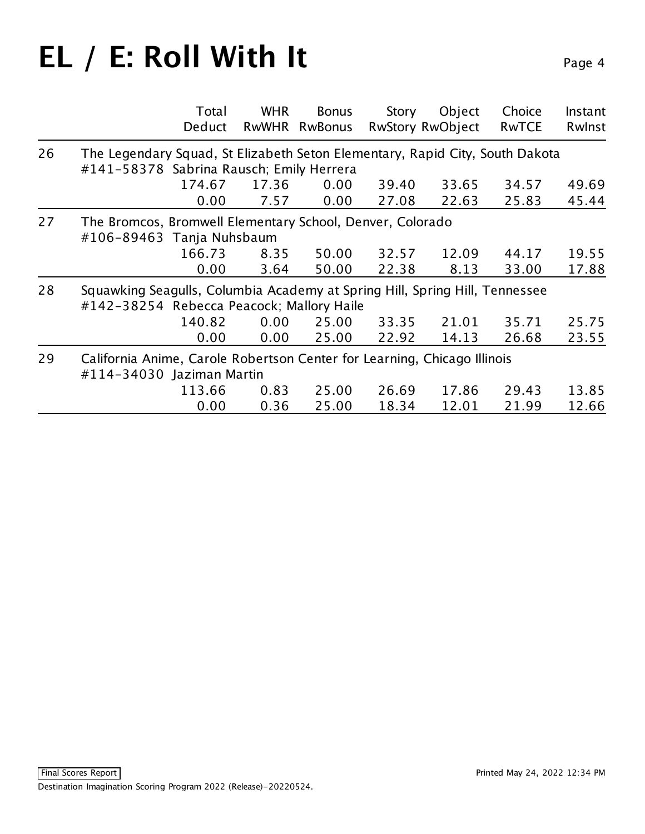|    | Total<br>Deduct                                                                                                          | <b>WHR</b> | <b>Bonus</b><br>RwWHR RwBonus | Story | Object<br><b>RwStory RwObject</b> | Choice<br><b>RwTCE</b> | Instant<br>Rwlnst |
|----|--------------------------------------------------------------------------------------------------------------------------|------------|-------------------------------|-------|-----------------------------------|------------------------|-------------------|
| 26 | The Legendary Squad, St Elizabeth Seton Elementary, Rapid City, South Dakota<br>#141-58378 Sabrina Rausch; Emily Herrera |            |                               |       |                                   |                        |                   |
|    | 174.67                                                                                                                   | 17.36      | 0.00                          | 39.40 | 33.65                             | 34.57                  | 49.69             |
|    | 0.00                                                                                                                     | 7.57       | 0.00                          | 27.08 | 22.63                             | 25.83                  | 45.44             |
| 27 | The Bromcos, Bromwell Elementary School, Denver, Colorado<br>#106-89463 Tanja Nuhsbaum                                   |            |                               |       |                                   |                        |                   |
|    | 166.73                                                                                                                   | 8.35       | 50.00                         | 32.57 | 12.09                             | 44.17                  | 19.55             |
|    | 0.00                                                                                                                     | 3.64       | 50.00                         | 22.38 | 8.13                              | 33.00                  | 17.88             |
| 28 | Squawking Seagulls, Columbia Academy at Spring Hill, Spring Hill, Tennessee<br>#142-38254 Rebecca Peacock; Mallory Haile |            |                               |       |                                   |                        |                   |
|    | 140.82                                                                                                                   | 0.00       | 25.00                         | 33.35 | 21.01                             | 35.71                  | 25.75             |
|    | 0.00                                                                                                                     | 0.00       | 25.00                         | 22.92 | 14.13                             | 26.68                  | 23.55             |
| 29 | California Anime, Carole Robertson Center for Learning, Chicago Illinois<br>#114-34030 Jaziman Martin                    |            |                               |       |                                   |                        |                   |
|    | 113.66                                                                                                                   | 0.83       | 25.00                         | 26.69 | 17.86                             | 29.43                  | 13.85             |
|    | 0.00                                                                                                                     | 0.36       | 25.00                         | 18.34 | 12.01                             | 21.99                  | 12.66             |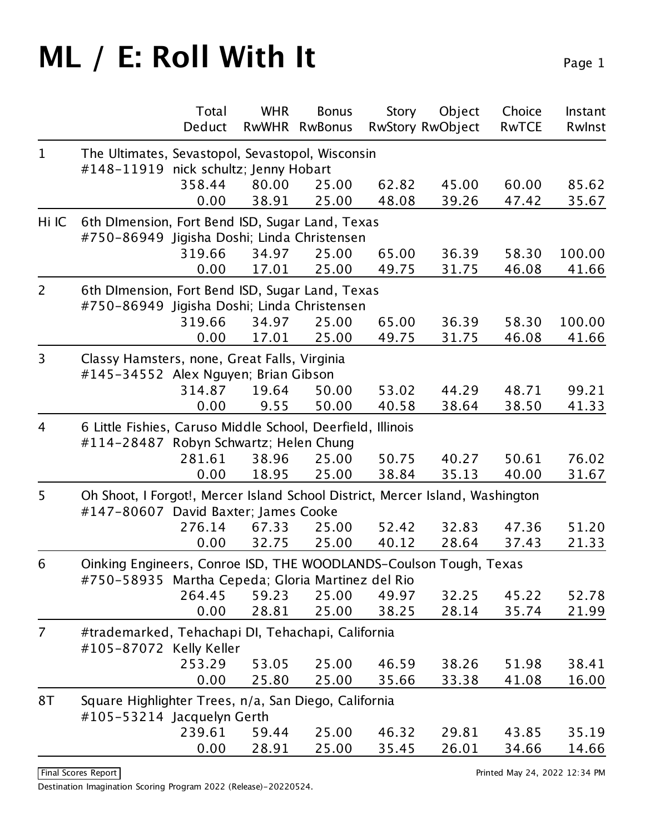|                |                                                                               | Total<br>Deduct | <b>WHR</b><br><b>RwWHR</b> | <b>Bonus</b><br><b>RwBonus</b> | Story | Object                  | Choice<br><b>RwTCE</b> | Instant |
|----------------|-------------------------------------------------------------------------------|-----------------|----------------------------|--------------------------------|-------|-------------------------|------------------------|---------|
|                |                                                                               |                 |                            |                                |       | <b>RwStory RwObject</b> |                        | Rwlnst  |
| $\mathbf{1}$   | The Ultimates, Sevastopol, Sevastopol, Wisconsin                              |                 |                            |                                |       |                         |                        |         |
|                | #148-11919 nick schultz; Jenny Hobart                                         |                 |                            |                                |       |                         |                        |         |
|                |                                                                               | 358.44          | 80.00                      | 25.00                          | 62.82 | 45.00                   | 60.00                  | 85.62   |
|                |                                                                               | 0.00            | 38.91                      | 25.00                          | 48.08 | 39.26                   | 47.42                  | 35.67   |
| Hi IC          | 6th DImension, Fort Bend ISD, Sugar Land, Texas                               |                 |                            |                                |       |                         |                        |         |
|                | #750-86949 Jigisha Doshi; Linda Christensen                                   |                 |                            |                                |       |                         |                        | 100.00  |
|                |                                                                               | 319.66          | 34.97                      | 25.00                          | 65.00 | 36.39                   | 58.30                  |         |
|                |                                                                               | 0.00            | 17.01                      | 25.00                          | 49.75 | 31.75                   | 46.08                  | 41.66   |
| $\overline{2}$ | 6th DImension, Fort Bend ISD, Sugar Land, Texas                               |                 |                            |                                |       |                         |                        |         |
|                | #750-86949 Jigisha Doshi; Linda Christensen                                   |                 |                            |                                |       |                         |                        |         |
|                |                                                                               | 319.66          | 34.97                      | 25.00                          | 65.00 | 36.39                   | 58.30                  | 100.00  |
|                |                                                                               | 0.00            | 17.01                      | 25.00                          | 49.75 | 31.75                   | 46.08                  | 41.66   |
| 3              | Classy Hamsters, none, Great Falls, Virginia                                  |                 |                            |                                |       |                         |                        |         |
|                | #145-34552 Alex Nguyen; Brian Gibson                                          |                 |                            |                                |       |                         |                        |         |
|                |                                                                               | 314.87          | 19.64                      | 50.00                          | 53.02 | 44.29                   | 48.71                  | 99.21   |
|                |                                                                               | 0.00            | 9.55                       | 50.00                          | 40.58 | 38.64                   | 38.50                  | 41.33   |
| 4              | 6 Little Fishies, Caruso Middle School, Deerfield, Illinois                   |                 |                            |                                |       |                         |                        |         |
|                | #114-28487 Robyn Schwartz; Helen Chung                                        |                 |                            |                                |       |                         |                        |         |
|                |                                                                               | 281.61          | 38.96                      | 25.00                          | 50.75 | 40.27                   | 50.61                  | 76.02   |
|                |                                                                               | 0.00            | 18.95                      | 25.00                          | 38.84 | 35.13                   | 40.00                  | 31.67   |
| 5              | Oh Shoot, I Forgot!, Mercer Island School District, Mercer Island, Washington |                 |                            |                                |       |                         |                        |         |
|                | #147-80607 David Baxter; James Cooke                                          |                 |                            |                                |       |                         |                        |         |
|                |                                                                               | 276.14          | 67.33                      | 25.00                          | 52.42 | 32.83                   | 47.36                  | 51.20   |
|                |                                                                               | 0.00            | 32.75                      | 25.00                          | 40.12 | 28.64                   | 37.43                  | 21.33   |
| 6              | Oinking Engineers, Conroe ISD, THE WOODLANDS-Coulson Tough, Texas             |                 |                            |                                |       |                         |                        |         |
|                | #750-58935 Martha Cepeda; Gloria Martinez del Rio                             |                 |                            |                                |       |                         |                        |         |
|                |                                                                               | 264.45          | 59.23                      | 25.00                          | 49.97 | 32.25                   | 45.22                  | 52.78   |
|                |                                                                               | 0.00            | 28.81                      | 25.00                          | 38.25 | 28.14                   | 35.74                  | 21.99   |
| $\overline{7}$ | #trademarked, Tehachapi DI, Tehachapi, California                             |                 |                            |                                |       |                         |                        |         |
|                | #105-87072 Kelly Keller                                                       |                 |                            |                                |       |                         |                        |         |
|                |                                                                               | 253.29          | 53.05                      | 25.00                          | 46.59 | 38.26                   | 51.98                  | 38.41   |
|                |                                                                               | 0.00            | 25.80                      | 25.00                          | 35.66 | 33.38                   | 41.08                  | 16.00   |
| 8T             | Square Highlighter Trees, n/a, San Diego, California                          |                 |                            |                                |       |                         |                        |         |
|                | #105-53214 Jacquelyn Gerth                                                    |                 |                            |                                |       |                         |                        |         |
|                |                                                                               | 239.61          | 59.44                      | 25.00                          | 46.32 | 29.81                   | 43.85                  | 35.19   |
|                |                                                                               | 0.00            | 28.91                      | 25.00                          | 35.45 | 26.01                   | 34.66                  | 14.66   |
|                |                                                                               |                 |                            |                                |       |                         |                        |         |

Destination Imagination Scoring Program 2022 (Release)-20220524.

Final Scores Report **Printed May 24, 2022 12:34 PM**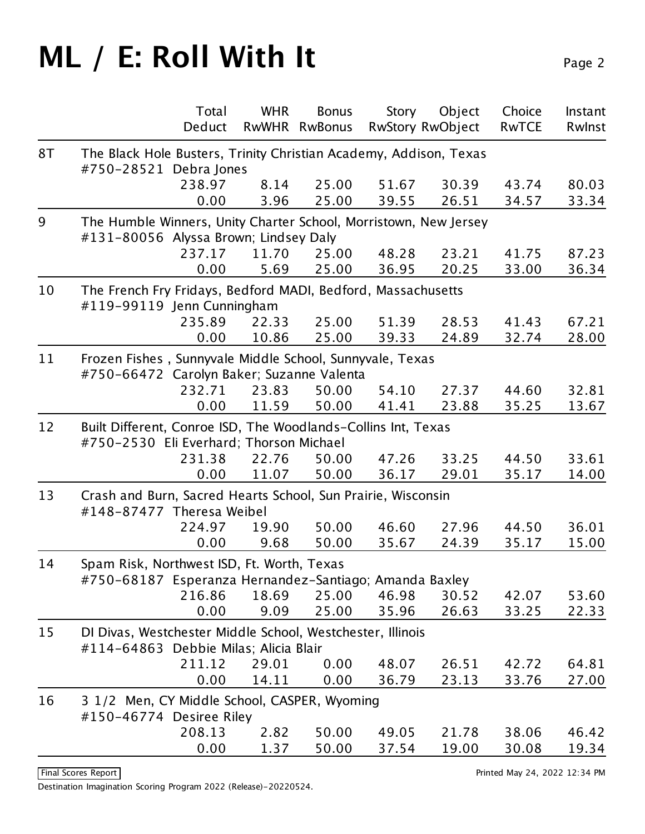|    |                                                                   | Total  | <b>WHR</b>   | <b>Bonus</b>   | Story | Object                  | Choice       | Instant |
|----|-------------------------------------------------------------------|--------|--------------|----------------|-------|-------------------------|--------------|---------|
|    |                                                                   | Deduct | <b>RwWHR</b> | <b>RwBonus</b> |       | <b>RwStory RwObject</b> | <b>RwTCE</b> | Rwlnst  |
| 8T | The Black Hole Busters, Trinity Christian Academy, Addison, Texas |        |              |                |       |                         |              |         |
|    | #750-28521 Debra Jones                                            |        |              |                |       |                         |              |         |
|    |                                                                   | 238.97 | 8.14         | 25.00          | 51.67 | 30.39                   | 43.74        | 80.03   |
|    |                                                                   | 0.00   | 3.96         | 25.00          | 39.55 | 26.51                   | 34.57        | 33.34   |
| 9  | The Humble Winners, Unity Charter School, Morristown, New Jersey  |        |              |                |       |                         |              |         |
|    | #131-80056 Alyssa Brown; Lindsey Daly                             |        |              |                |       |                         |              |         |
|    |                                                                   | 237.17 | 11.70        | 25.00          | 48.28 | 23.21                   | 41.75        | 87.23   |
|    |                                                                   | 0.00   | 5.69         | 25.00          | 36.95 | 20.25                   | 33.00        | 36.34   |
| 10 | The French Fry Fridays, Bedford MADI, Bedford, Massachusetts      |        |              |                |       |                         |              |         |
|    | #119-99119 Jenn Cunningham                                        |        |              |                |       |                         |              |         |
|    |                                                                   | 235.89 | 22.33        | 25.00          | 51.39 | 28.53                   | 41.43        | 67.21   |
|    |                                                                   | 0.00   | 10.86        | 25.00          | 39.33 | 24.89                   | 32.74        | 28.00   |
| 11 | Frozen Fishes, Sunnyvale Middle School, Sunnyvale, Texas          |        |              |                |       |                         |              |         |
|    | #750-66472 Carolyn Baker; Suzanne Valenta                         |        |              |                |       |                         |              |         |
|    |                                                                   | 232.71 | 23.83        | 50.00          | 54.10 | 27.37                   | 44.60        | 32.81   |
|    |                                                                   | 0.00   | 11.59        | 50.00          | 41.41 | 23.88                   | 35.25        | 13.67   |
| 12 | Built Different, Conroe ISD, The Woodlands-Collins Int, Texas     |        |              |                |       |                         |              |         |
|    | #750-2530 Eli Everhard; Thorson Michael                           |        |              |                |       |                         |              |         |
|    |                                                                   | 231.38 | 22.76        | 50.00          | 47.26 | 33.25                   | 44.50        | 33.61   |
|    |                                                                   | 0.00   | 11.07        | 50.00          | 36.17 | 29.01                   | 35.17        | 14.00   |
| 13 | Crash and Burn, Sacred Hearts School, Sun Prairie, Wisconsin      |        |              |                |       |                         |              |         |
|    | #148-87477 Theresa Weibel                                         |        |              |                |       |                         |              |         |
|    |                                                                   | 224.97 | 19.90        | 50.00          | 46.60 | 27.96                   | 44.50        | 36.01   |
|    |                                                                   | 0.00   | 9.68         | 50.00          | 35.67 | 24.39                   | 35.17        | 15.00   |
| 14 | Spam Risk, Northwest ISD, Ft. Worth, Texas                        |        |              |                |       |                         |              |         |
|    | #750-68187 Esperanza Hernandez-Santiago; Amanda Baxley            |        |              |                |       |                         |              |         |
|    |                                                                   | 216.86 | 18.69        | 25.00          | 46.98 | 30.52                   | 42.07        | 53.60   |
|    |                                                                   | 0.00   | 9.09         | 25.00          | 35.96 | 26.63                   | 33.25        | 22.33   |
| 15 | DI Divas, Westchester Middle School, Westchester, Illinois        |        |              |                |       |                         |              |         |
|    | #114-64863 Debbie Milas; Alicia Blair                             |        |              |                |       |                         |              |         |
|    |                                                                   | 211.12 | 29.01        | 0.00           | 48.07 | 26.51                   | 42.72        | 64.81   |
|    |                                                                   | 0.00   | 14.11        | 0.00           | 36.79 | 23.13                   | 33.76        | 27.00   |
| 16 | 3 1/2 Men, CY Middle School, CASPER, Wyoming                      |        |              |                |       |                         |              |         |
|    | #150-46774 Desiree Riley                                          |        |              |                |       |                         |              |         |
|    |                                                                   | 208.13 | 2.82         | 50.00          | 49.05 | 21.78                   | 38.06        | 46.42   |
|    |                                                                   | 0.00   | 1.37         | 50.00          | 37.54 | 19.00                   | 30.08        | 19.34   |
|    |                                                                   |        |              |                |       |                         |              |         |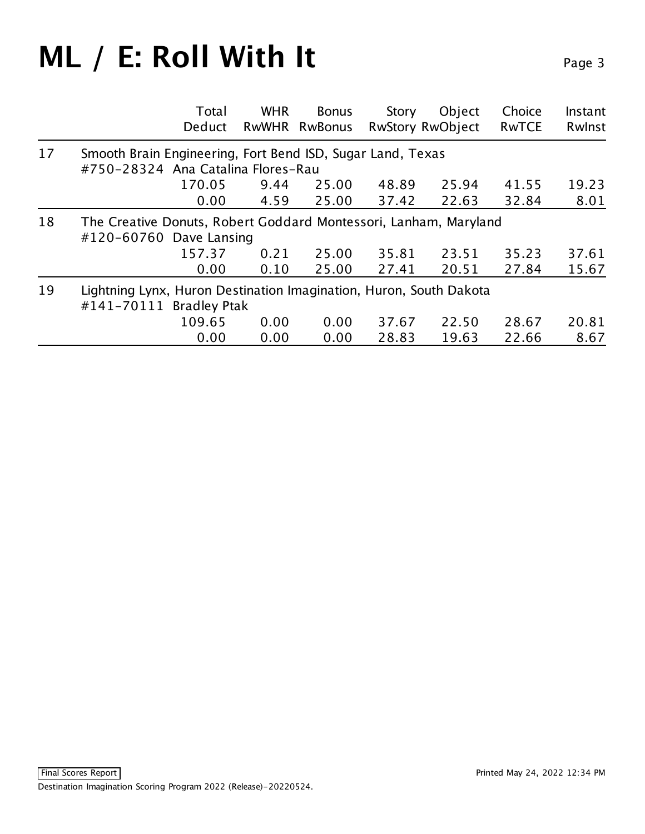|    | Total<br>Deduct                                                                                  | <b>WHR</b> | <b>Bonus</b><br>RwWHR RwBonus | Story<br><b>RwStory RwObject</b> | Object | Choice<br><b>RwTCE</b> | Instant<br>Rwlnst |
|----|--------------------------------------------------------------------------------------------------|------------|-------------------------------|----------------------------------|--------|------------------------|-------------------|
| 17 | Smooth Brain Engineering, Fort Bend ISD, Sugar Land, Texas<br>#750-28324 Ana Catalina Flores-Rau |            |                               |                                  |        |                        |                   |
|    | 170.05                                                                                           | 9.44       | 25.00                         | 48.89                            | 25.94  | 41.55                  | 19.23             |
|    | 0.00                                                                                             | 4.59       | 25.00                         | 37.42                            | 22.63  | 32.84                  | 8.01              |
| 18 | The Creative Donuts, Robert Goddard Montessori, Lanham, Maryland<br>#120-60760 Dave Lansing      |            |                               |                                  |        |                        |                   |
|    | 157.37                                                                                           | 0.21       | 25.00                         | 35.81                            | 23.51  | 35.23                  | 37.61             |
|    | 0.00                                                                                             | 0.10       | 25.00                         | 27.41                            | 20.51  | 27.84                  | 15.67             |
| 19 | Lightning Lynx, Huron Destination Imagination, Huron, South Dakota<br>#141-70111 Bradley Ptak    |            |                               |                                  |        |                        |                   |
|    | 109.65                                                                                           | 0.00       | 0.00                          | 37.67                            | 22.50  | 28.67                  | 20.81             |
|    | 0.00                                                                                             | 0.00       | 0.00                          | 28.83                            | 19.63  | 22.66                  | 8.67              |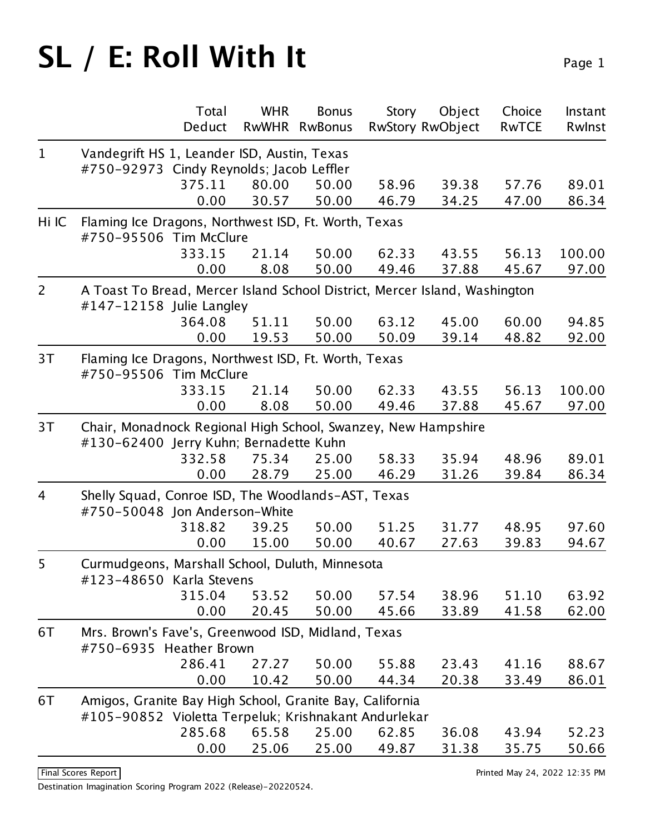|                |                                                                                                         | Total<br>Deduct | <b>WHR</b><br><b>RwWHR</b> | <b>Bonus</b><br><b>RwBonus</b> | Story | Object<br><b>RwStory RwObject</b> | Choice<br><b>RwTCE</b> | Instant<br>Rwlnst |
|----------------|---------------------------------------------------------------------------------------------------------|-----------------|----------------------------|--------------------------------|-------|-----------------------------------|------------------------|-------------------|
| $\mathbf{1}$   | Vandegrift HS 1, Leander ISD, Austin, Texas                                                             |                 |                            |                                |       |                                   |                        |                   |
|                | #750-92973 Cindy Reynolds; Jacob Leffler                                                                |                 |                            |                                |       |                                   |                        |                   |
|                |                                                                                                         | 375.11          | 80.00                      | 50.00                          | 58.96 | 39.38                             | 57.76                  | 89.01             |
|                |                                                                                                         | 0.00            | 30.57                      | 50.00                          | 46.79 | 34.25                             | 47.00                  | 86.34             |
| Hi IC          | Flaming Ice Dragons, Northwest ISD, Ft. Worth, Texas                                                    |                 |                            |                                |       |                                   |                        |                   |
|                | #750-95506 Tim McClure                                                                                  |                 |                            |                                |       |                                   |                        |                   |
|                |                                                                                                         | 333.15          | 21.14                      | 50.00                          | 62.33 | 43.55                             | 56.13                  | 100.00            |
|                |                                                                                                         | 0.00            | 8.08                       | 50.00                          | 49.46 | 37.88                             | 45.67                  | 97.00             |
| $\overline{2}$ | A Toast To Bread, Mercer Island School District, Mercer Island, Washington<br>#147-12158 Julie Langley  |                 |                            |                                |       |                                   |                        |                   |
|                |                                                                                                         | 364.08          | 51.11                      | 50.00                          | 63.12 | 45.00                             | 60.00                  | 94.85             |
|                |                                                                                                         | 0.00            | 19.53                      | 50.00                          | 50.09 | 39.14                             | 48.82                  | 92.00             |
| 3T             | Flaming Ice Dragons, Northwest ISD, Ft. Worth, Texas<br>#750-95506 Tim McClure                          |                 |                            |                                |       |                                   |                        |                   |
|                |                                                                                                         | 333.15          | 21.14                      | 50.00                          | 62.33 | 43.55                             | 56.13                  | 100.00            |
|                |                                                                                                         | 0.00            | 8.08                       | 50.00                          | 49.46 | 37.88                             | 45.67                  | 97.00             |
| 3T             | Chair, Monadnock Regional High School, Swanzey, New Hampshire<br>#130-62400 Jerry Kuhn; Bernadette Kuhn |                 |                            |                                |       |                                   |                        |                   |
|                |                                                                                                         | 332.58          | 75.34                      | 25.00                          | 58.33 | 35.94                             | 48.96                  | 89.01             |
|                |                                                                                                         | 0.00            | 28.79                      | 25.00                          | 46.29 | 31.26                             | 39.84                  | 86.34             |
| 4              | Shelly Squad, Conroe ISD, The Woodlands-AST, Texas<br>#750-50048 Jon Anderson-White                     |                 |                            |                                |       |                                   |                        |                   |
|                |                                                                                                         | 318.82          | 39.25                      | 50.00                          | 51.25 | 31.77                             | 48.95                  | 97.60             |
|                |                                                                                                         | 0.00            | 15.00                      | 50.00                          | 40.67 | 27.63                             | 39.83                  | 94.67             |
| 5              | Curmudgeons, Marshall School, Duluth, Minnesota<br>#123-48650 Karla Stevens                             |                 |                            |                                |       |                                   |                        |                   |
|                |                                                                                                         | 315.04          | 53.52                      | 50.00                          | 57.54 | 38.96                             | 51.10                  | 63.92             |
|                |                                                                                                         | 0.00            | 20.45                      | 50.00                          | 45.66 | 33.89                             | 41.58                  | 62.00             |
| 6T             | Mrs. Brown's Fave's, Greenwood ISD, Midland, Texas<br>#750-6935 Heather Brown                           |                 |                            |                                |       |                                   |                        |                   |
|                |                                                                                                         | 286.41          | 27.27                      | 50.00                          | 55.88 | 23.43                             | 41.16                  | 88.67             |
|                |                                                                                                         | 0.00            | 10.42                      | 50.00                          | 44.34 | 20.38                             | 33.49                  | 86.01             |
| 6T             | Amigos, Granite Bay High School, Granite Bay, California                                                |                 |                            |                                |       |                                   |                        |                   |
|                | #105-90852 Violetta Terpeluk; Krishnakant Andurlekar                                                    |                 |                            |                                |       |                                   |                        |                   |
|                |                                                                                                         | 285.68          | 65.58                      | 25.00                          | 62.85 | 36.08                             | 43.94                  | 52.23             |
|                |                                                                                                         | 0.00            | 25.06                      | 25.00                          | 49.87 | 31.38                             | 35.75                  | 50.66             |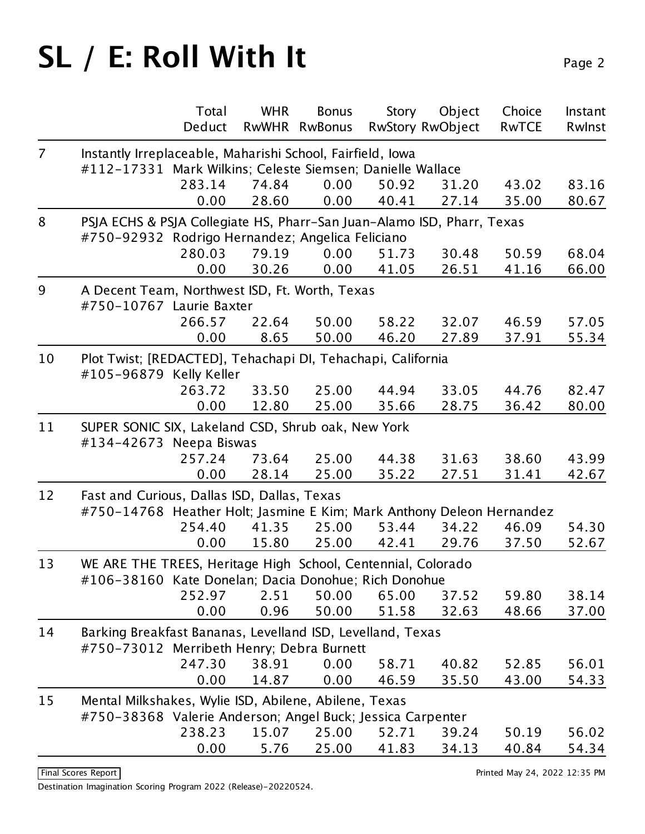| $\overline{7}$<br>Instantly Irreplaceable, Maharishi School, Fairfield, Iowa<br>#112-17331 Mark Wilkins; Celeste Siemsen; Danielle Wallace<br>283.14<br>74.84<br>0.00<br>50.92<br>31.20<br>43.02<br>83.16<br>35.00<br>0.00<br>28.60<br>0.00<br>40.41<br>27.14<br>8<br>PSJA ECHS & PSJA Collegiate HS, Pharr-San Juan-Alamo ISD, Pharr, Texas<br>#750-92932 Rodrigo Hernandez; Angelica Feliciano<br>280.03<br>79.19<br>0.00<br>51.73<br>50.59<br>30.48<br>0.00<br>30.26<br>0.00<br>41.05<br>41.16<br>26.51<br>9<br>A Decent Team, Northwest ISD, Ft. Worth, Texas<br>#750-10767 Laurie Baxter<br>266.57<br>50.00<br>58.22<br>32.07<br>22.64<br>46.59<br>0.00<br>50.00<br>46.20<br>8.65<br>27.89<br>37.91<br>10<br>Plot Twist; [REDACTED], Tehachapi DI, Tehachapi, California<br>#105-96879 Kelly Keller<br>263.72<br>33.50<br>25.00<br>44.94<br>33.05<br>44.76<br>12.80<br>25.00<br>35.66<br>36.42<br>0.00<br>28.75<br>11<br>SUPER SONIC SIX, Lakeland CSD, Shrub oak, New York<br>#134-42673 Neepa Biswas<br>257.24<br>25.00<br>44.38<br>31.63<br>38.60<br>73.64<br>0.00<br>28.14<br>25.00<br>35.22<br>27.51<br>31.41<br>Fast and Curious, Dallas ISD, Dallas, Texas<br>12<br>#750-14768 Heather Holt; Jasmine E Kim; Mark Anthony Deleon Hernandez<br>254.40<br>41.35<br>53.44<br>34.22<br>25.00<br>46.09<br>25.00<br>15.80<br>42.41<br>0.00<br>29.76<br>37.50<br>13<br>WE ARE THE TREES, Heritage High School, Centennial, Colorado<br>#106-38160 Kate Donelan; Dacia Donohue; Rich Donohue<br>252.97<br>50.00<br>65.00<br>2.51<br>59.80<br>37.52<br>0.00<br>0.96<br>50.00<br>51.58<br>32.63<br>48.66<br>14<br>Barking Breakfast Bananas, Levelland ISD, Levelland, Texas<br>#750-73012 Merribeth Henry; Debra Burnett<br>247.30<br>38.91<br>0.00<br>58.71<br>40.82<br>52.85<br>56.01<br>0.00<br>14.87<br>0.00<br>46.59<br>35.50<br>43.00<br>Mental Milkshakes, Wylie ISD, Abilene, Abilene, Texas<br>15<br>#750-38368 Valerie Anderson; Angel Buck; Jessica Carpenter<br>238.23<br>15.07<br>25.00<br>52.71<br>50.19<br>56.02<br>39.24 |  | Total<br>Deduct | <b>WHR</b><br>RwWHR | <b>Bonus</b><br><b>RwBonus</b> | Story | Object<br><b>RwStory RwObject</b> | Choice<br><b>RwTCE</b> | Instant<br>Rwlnst |  |  |
|--------------------------------------------------------------------------------------------------------------------------------------------------------------------------------------------------------------------------------------------------------------------------------------------------------------------------------------------------------------------------------------------------------------------------------------------------------------------------------------------------------------------------------------------------------------------------------------------------------------------------------------------------------------------------------------------------------------------------------------------------------------------------------------------------------------------------------------------------------------------------------------------------------------------------------------------------------------------------------------------------------------------------------------------------------------------------------------------------------------------------------------------------------------------------------------------------------------------------------------------------------------------------------------------------------------------------------------------------------------------------------------------------------------------------------------------------------------------------------------------------------------------------------------------------------------------------------------------------------------------------------------------------------------------------------------------------------------------------------------------------------------------------------------------------------------------------------------------------------------------------------------------------------------------------------------------------------------------------------------------------------------------------------------------|--|-----------------|---------------------|--------------------------------|-------|-----------------------------------|------------------------|-------------------|--|--|
|                                                                                                                                                                                                                                                                                                                                                                                                                                                                                                                                                                                                                                                                                                                                                                                                                                                                                                                                                                                                                                                                                                                                                                                                                                                                                                                                                                                                                                                                                                                                                                                                                                                                                                                                                                                                                                                                                                                                                                                                                                            |  |                 |                     |                                |       |                                   |                        |                   |  |  |
|                                                                                                                                                                                                                                                                                                                                                                                                                                                                                                                                                                                                                                                                                                                                                                                                                                                                                                                                                                                                                                                                                                                                                                                                                                                                                                                                                                                                                                                                                                                                                                                                                                                                                                                                                                                                                                                                                                                                                                                                                                            |  |                 |                     |                                |       |                                   |                        |                   |  |  |
|                                                                                                                                                                                                                                                                                                                                                                                                                                                                                                                                                                                                                                                                                                                                                                                                                                                                                                                                                                                                                                                                                                                                                                                                                                                                                                                                                                                                                                                                                                                                                                                                                                                                                                                                                                                                                                                                                                                                                                                                                                            |  |                 |                     |                                |       |                                   |                        |                   |  |  |
|                                                                                                                                                                                                                                                                                                                                                                                                                                                                                                                                                                                                                                                                                                                                                                                                                                                                                                                                                                                                                                                                                                                                                                                                                                                                                                                                                                                                                                                                                                                                                                                                                                                                                                                                                                                                                                                                                                                                                                                                                                            |  |                 |                     |                                |       |                                   |                        | 80.67             |  |  |
|                                                                                                                                                                                                                                                                                                                                                                                                                                                                                                                                                                                                                                                                                                                                                                                                                                                                                                                                                                                                                                                                                                                                                                                                                                                                                                                                                                                                                                                                                                                                                                                                                                                                                                                                                                                                                                                                                                                                                                                                                                            |  |                 |                     |                                |       |                                   |                        |                   |  |  |
|                                                                                                                                                                                                                                                                                                                                                                                                                                                                                                                                                                                                                                                                                                                                                                                                                                                                                                                                                                                                                                                                                                                                                                                                                                                                                                                                                                                                                                                                                                                                                                                                                                                                                                                                                                                                                                                                                                                                                                                                                                            |  |                 |                     |                                |       |                                   |                        |                   |  |  |
|                                                                                                                                                                                                                                                                                                                                                                                                                                                                                                                                                                                                                                                                                                                                                                                                                                                                                                                                                                                                                                                                                                                                                                                                                                                                                                                                                                                                                                                                                                                                                                                                                                                                                                                                                                                                                                                                                                                                                                                                                                            |  |                 |                     |                                |       |                                   |                        | 68.04             |  |  |
|                                                                                                                                                                                                                                                                                                                                                                                                                                                                                                                                                                                                                                                                                                                                                                                                                                                                                                                                                                                                                                                                                                                                                                                                                                                                                                                                                                                                                                                                                                                                                                                                                                                                                                                                                                                                                                                                                                                                                                                                                                            |  |                 |                     |                                |       |                                   |                        | 66.00             |  |  |
|                                                                                                                                                                                                                                                                                                                                                                                                                                                                                                                                                                                                                                                                                                                                                                                                                                                                                                                                                                                                                                                                                                                                                                                                                                                                                                                                                                                                                                                                                                                                                                                                                                                                                                                                                                                                                                                                                                                                                                                                                                            |  |                 |                     |                                |       |                                   |                        |                   |  |  |
|                                                                                                                                                                                                                                                                                                                                                                                                                                                                                                                                                                                                                                                                                                                                                                                                                                                                                                                                                                                                                                                                                                                                                                                                                                                                                                                                                                                                                                                                                                                                                                                                                                                                                                                                                                                                                                                                                                                                                                                                                                            |  |                 |                     |                                |       |                                   |                        |                   |  |  |
|                                                                                                                                                                                                                                                                                                                                                                                                                                                                                                                                                                                                                                                                                                                                                                                                                                                                                                                                                                                                                                                                                                                                                                                                                                                                                                                                                                                                                                                                                                                                                                                                                                                                                                                                                                                                                                                                                                                                                                                                                                            |  |                 |                     |                                |       |                                   |                        | 57.05             |  |  |
|                                                                                                                                                                                                                                                                                                                                                                                                                                                                                                                                                                                                                                                                                                                                                                                                                                                                                                                                                                                                                                                                                                                                                                                                                                                                                                                                                                                                                                                                                                                                                                                                                                                                                                                                                                                                                                                                                                                                                                                                                                            |  |                 |                     |                                |       |                                   |                        | 55.34             |  |  |
|                                                                                                                                                                                                                                                                                                                                                                                                                                                                                                                                                                                                                                                                                                                                                                                                                                                                                                                                                                                                                                                                                                                                                                                                                                                                                                                                                                                                                                                                                                                                                                                                                                                                                                                                                                                                                                                                                                                                                                                                                                            |  |                 |                     |                                |       |                                   |                        |                   |  |  |
|                                                                                                                                                                                                                                                                                                                                                                                                                                                                                                                                                                                                                                                                                                                                                                                                                                                                                                                                                                                                                                                                                                                                                                                                                                                                                                                                                                                                                                                                                                                                                                                                                                                                                                                                                                                                                                                                                                                                                                                                                                            |  |                 |                     |                                |       |                                   |                        |                   |  |  |
|                                                                                                                                                                                                                                                                                                                                                                                                                                                                                                                                                                                                                                                                                                                                                                                                                                                                                                                                                                                                                                                                                                                                                                                                                                                                                                                                                                                                                                                                                                                                                                                                                                                                                                                                                                                                                                                                                                                                                                                                                                            |  |                 |                     |                                |       |                                   |                        | 82.47             |  |  |
|                                                                                                                                                                                                                                                                                                                                                                                                                                                                                                                                                                                                                                                                                                                                                                                                                                                                                                                                                                                                                                                                                                                                                                                                                                                                                                                                                                                                                                                                                                                                                                                                                                                                                                                                                                                                                                                                                                                                                                                                                                            |  |                 |                     |                                |       |                                   |                        | 80.00             |  |  |
|                                                                                                                                                                                                                                                                                                                                                                                                                                                                                                                                                                                                                                                                                                                                                                                                                                                                                                                                                                                                                                                                                                                                                                                                                                                                                                                                                                                                                                                                                                                                                                                                                                                                                                                                                                                                                                                                                                                                                                                                                                            |  |                 |                     |                                |       |                                   |                        |                   |  |  |
|                                                                                                                                                                                                                                                                                                                                                                                                                                                                                                                                                                                                                                                                                                                                                                                                                                                                                                                                                                                                                                                                                                                                                                                                                                                                                                                                                                                                                                                                                                                                                                                                                                                                                                                                                                                                                                                                                                                                                                                                                                            |  |                 |                     |                                |       |                                   |                        |                   |  |  |
|                                                                                                                                                                                                                                                                                                                                                                                                                                                                                                                                                                                                                                                                                                                                                                                                                                                                                                                                                                                                                                                                                                                                                                                                                                                                                                                                                                                                                                                                                                                                                                                                                                                                                                                                                                                                                                                                                                                                                                                                                                            |  |                 |                     |                                |       |                                   |                        | 43.99             |  |  |
|                                                                                                                                                                                                                                                                                                                                                                                                                                                                                                                                                                                                                                                                                                                                                                                                                                                                                                                                                                                                                                                                                                                                                                                                                                                                                                                                                                                                                                                                                                                                                                                                                                                                                                                                                                                                                                                                                                                                                                                                                                            |  |                 |                     |                                |       |                                   |                        | 42.67             |  |  |
|                                                                                                                                                                                                                                                                                                                                                                                                                                                                                                                                                                                                                                                                                                                                                                                                                                                                                                                                                                                                                                                                                                                                                                                                                                                                                                                                                                                                                                                                                                                                                                                                                                                                                                                                                                                                                                                                                                                                                                                                                                            |  |                 |                     |                                |       |                                   |                        |                   |  |  |
|                                                                                                                                                                                                                                                                                                                                                                                                                                                                                                                                                                                                                                                                                                                                                                                                                                                                                                                                                                                                                                                                                                                                                                                                                                                                                                                                                                                                                                                                                                                                                                                                                                                                                                                                                                                                                                                                                                                                                                                                                                            |  |                 |                     |                                |       |                                   |                        |                   |  |  |
|                                                                                                                                                                                                                                                                                                                                                                                                                                                                                                                                                                                                                                                                                                                                                                                                                                                                                                                                                                                                                                                                                                                                                                                                                                                                                                                                                                                                                                                                                                                                                                                                                                                                                                                                                                                                                                                                                                                                                                                                                                            |  |                 |                     |                                |       |                                   |                        | 54.30             |  |  |
|                                                                                                                                                                                                                                                                                                                                                                                                                                                                                                                                                                                                                                                                                                                                                                                                                                                                                                                                                                                                                                                                                                                                                                                                                                                                                                                                                                                                                                                                                                                                                                                                                                                                                                                                                                                                                                                                                                                                                                                                                                            |  |                 |                     |                                |       |                                   |                        | 52.67             |  |  |
|                                                                                                                                                                                                                                                                                                                                                                                                                                                                                                                                                                                                                                                                                                                                                                                                                                                                                                                                                                                                                                                                                                                                                                                                                                                                                                                                                                                                                                                                                                                                                                                                                                                                                                                                                                                                                                                                                                                                                                                                                                            |  |                 |                     |                                |       |                                   |                        |                   |  |  |
|                                                                                                                                                                                                                                                                                                                                                                                                                                                                                                                                                                                                                                                                                                                                                                                                                                                                                                                                                                                                                                                                                                                                                                                                                                                                                                                                                                                                                                                                                                                                                                                                                                                                                                                                                                                                                                                                                                                                                                                                                                            |  |                 |                     |                                |       |                                   |                        |                   |  |  |
|                                                                                                                                                                                                                                                                                                                                                                                                                                                                                                                                                                                                                                                                                                                                                                                                                                                                                                                                                                                                                                                                                                                                                                                                                                                                                                                                                                                                                                                                                                                                                                                                                                                                                                                                                                                                                                                                                                                                                                                                                                            |  |                 |                     |                                |       |                                   |                        | 38.14             |  |  |
|                                                                                                                                                                                                                                                                                                                                                                                                                                                                                                                                                                                                                                                                                                                                                                                                                                                                                                                                                                                                                                                                                                                                                                                                                                                                                                                                                                                                                                                                                                                                                                                                                                                                                                                                                                                                                                                                                                                                                                                                                                            |  |                 |                     |                                |       |                                   |                        | 37.00             |  |  |
|                                                                                                                                                                                                                                                                                                                                                                                                                                                                                                                                                                                                                                                                                                                                                                                                                                                                                                                                                                                                                                                                                                                                                                                                                                                                                                                                                                                                                                                                                                                                                                                                                                                                                                                                                                                                                                                                                                                                                                                                                                            |  |                 |                     |                                |       |                                   |                        |                   |  |  |
|                                                                                                                                                                                                                                                                                                                                                                                                                                                                                                                                                                                                                                                                                                                                                                                                                                                                                                                                                                                                                                                                                                                                                                                                                                                                                                                                                                                                                                                                                                                                                                                                                                                                                                                                                                                                                                                                                                                                                                                                                                            |  |                 |                     |                                |       |                                   |                        |                   |  |  |
|                                                                                                                                                                                                                                                                                                                                                                                                                                                                                                                                                                                                                                                                                                                                                                                                                                                                                                                                                                                                                                                                                                                                                                                                                                                                                                                                                                                                                                                                                                                                                                                                                                                                                                                                                                                                                                                                                                                                                                                                                                            |  |                 |                     |                                |       |                                   |                        |                   |  |  |
|                                                                                                                                                                                                                                                                                                                                                                                                                                                                                                                                                                                                                                                                                                                                                                                                                                                                                                                                                                                                                                                                                                                                                                                                                                                                                                                                                                                                                                                                                                                                                                                                                                                                                                                                                                                                                                                                                                                                                                                                                                            |  |                 |                     |                                |       |                                   |                        | 54.33             |  |  |
|                                                                                                                                                                                                                                                                                                                                                                                                                                                                                                                                                                                                                                                                                                                                                                                                                                                                                                                                                                                                                                                                                                                                                                                                                                                                                                                                                                                                                                                                                                                                                                                                                                                                                                                                                                                                                                                                                                                                                                                                                                            |  |                 |                     |                                |       |                                   |                        |                   |  |  |
|                                                                                                                                                                                                                                                                                                                                                                                                                                                                                                                                                                                                                                                                                                                                                                                                                                                                                                                                                                                                                                                                                                                                                                                                                                                                                                                                                                                                                                                                                                                                                                                                                                                                                                                                                                                                                                                                                                                                                                                                                                            |  |                 |                     |                                |       |                                   |                        |                   |  |  |
|                                                                                                                                                                                                                                                                                                                                                                                                                                                                                                                                                                                                                                                                                                                                                                                                                                                                                                                                                                                                                                                                                                                                                                                                                                                                                                                                                                                                                                                                                                                                                                                                                                                                                                                                                                                                                                                                                                                                                                                                                                            |  |                 |                     |                                |       |                                   |                        |                   |  |  |
|                                                                                                                                                                                                                                                                                                                                                                                                                                                                                                                                                                                                                                                                                                                                                                                                                                                                                                                                                                                                                                                                                                                                                                                                                                                                                                                                                                                                                                                                                                                                                                                                                                                                                                                                                                                                                                                                                                                                                                                                                                            |  | 0.00            | 5.76                | 25.00                          | 41.83 | 34.13                             | 40.84                  | 54.34             |  |  |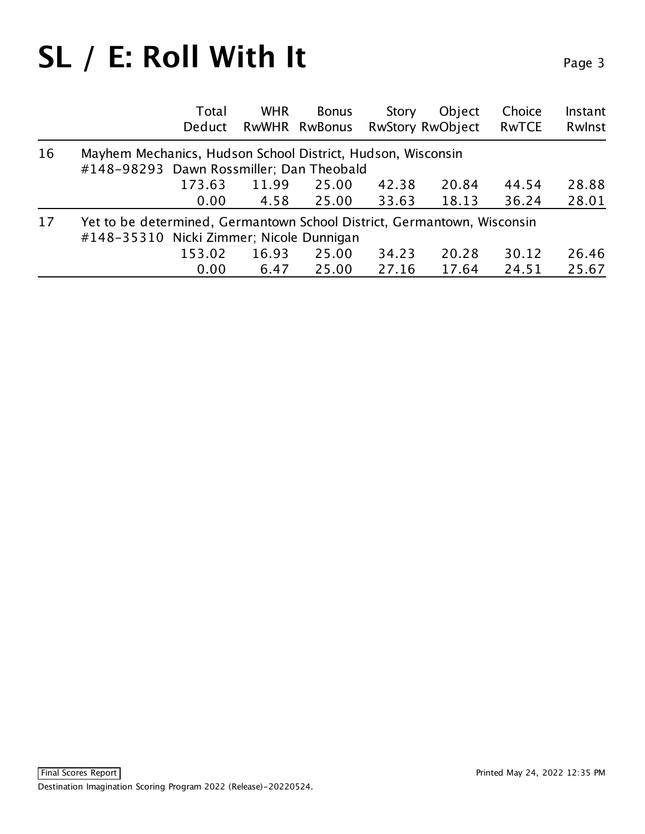|    |                                                                         | Total<br>Deduct | <b>WHR</b> | <b>Bonus</b><br>RwWHR RwBonus | Story | Object<br><b>RwStory RwObject</b> | Choice<br><b>RwTCE</b> | Instant<br>Rwlnst |
|----|-------------------------------------------------------------------------|-----------------|------------|-------------------------------|-------|-----------------------------------|------------------------|-------------------|
| 16 | Mayhem Mechanics, Hudson School District, Hudson, Wisconsin             |                 |            |                               |       |                                   |                        |                   |
|    | #148-98293 Dawn Rossmiller; Dan Theobald                                |                 |            |                               |       |                                   |                        |                   |
|    |                                                                         | 173.63          | 11.99      | 25.00                         | 42.38 | 20.84                             | 44.54                  | 28.88             |
|    |                                                                         | 0.00            | 4.58       | 25.00                         | 33.63 | 18.13                             | 36.24                  | 28.01             |
| 17 | Yet to be determined, Germantown School District, Germantown, Wisconsin |                 |            |                               |       |                                   |                        |                   |
|    | #148-35310 Nicki Zimmer; Nicole Dunnigan                                |                 |            |                               |       |                                   |                        |                   |
|    |                                                                         | 153.02          | 16.93      | 25.00                         | 34.23 | 20.28                             | 30.12                  | 26.46             |
|    |                                                                         | 0.00            | 6.47       | 25.00                         | 27.16 | 17.64                             | 24.51                  | 25.67             |